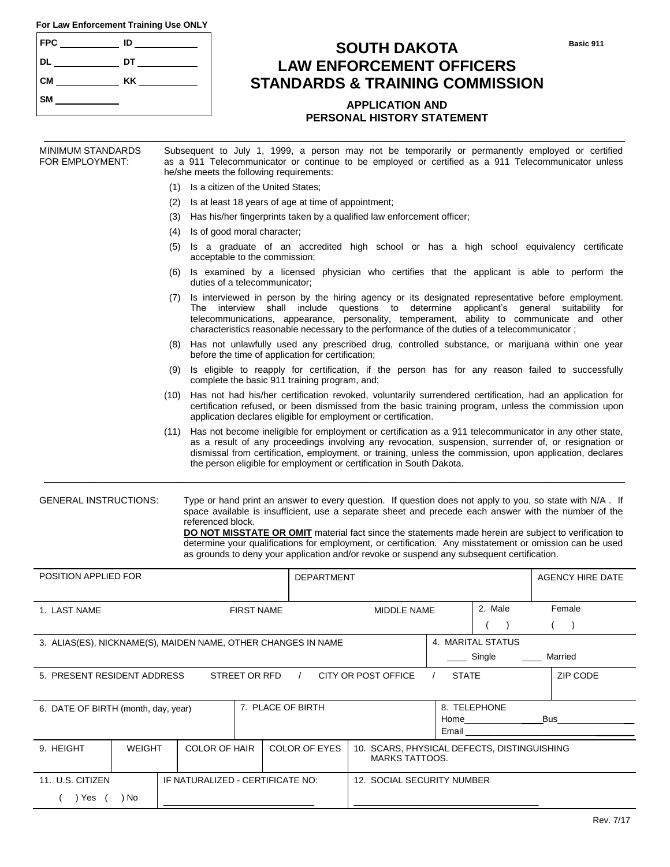|  |  |  | For Law Enforcement Training Use ONLY |  |  |  |
|--|--|--|---------------------------------------|--|--|--|
|--|--|--|---------------------------------------|--|--|--|

| <b>FPC</b> | ID |
|------------|----|
| <b>DL</b>  | DT |
| <b>CM</b>  | KK |
| <b>SM</b>  |    |

## **SOUTH DAKOTA LAW ENFORCEMENT OFFICERS STANDARDS & TRAINING COMMISSION**

### **APPLICATION AND PERSONAL HISTORY STATEMENT**

\_\_\_\_\_\_\_\_\_\_\_\_\_\_\_\_\_\_\_\_\_\_\_\_\_\_\_\_\_\_\_\_\_\_\_\_\_\_\_\_\_\_\_\_\_\_\_\_\_\_\_\_\_\_\_\_\_\_\_\_\_\_\_\_\_\_\_\_\_\_\_\_\_\_\_\_\_\_\_ MINIMUM STANDARDS Subsequent to July 1, 1999, a person may not be temporarily or permanently employed or certified

| FOR EMPLOYMENT:<br>as a 911 Telecommunicator or continue to be employed or certified as a 911 Telecommunicator unless<br>he/she meets the following requirements:                                                                                                                                                                                                                                                                 |                                                                                                                                                                                                                                                                                                                                                                                                             |                      |                             |                                                   |                                                                                                                                                                                                                                                                                                                                                                                                                                                                                                                                     |              |                                                                                                                                                                                                                                |  |                         |
|-----------------------------------------------------------------------------------------------------------------------------------------------------------------------------------------------------------------------------------------------------------------------------------------------------------------------------------------------------------------------------------------------------------------------------------|-------------------------------------------------------------------------------------------------------------------------------------------------------------------------------------------------------------------------------------------------------------------------------------------------------------------------------------------------------------------------------------------------------------|----------------------|-----------------------------|---------------------------------------------------|-------------------------------------------------------------------------------------------------------------------------------------------------------------------------------------------------------------------------------------------------------------------------------------------------------------------------------------------------------------------------------------------------------------------------------------------------------------------------------------------------------------------------------------|--------------|--------------------------------------------------------------------------------------------------------------------------------------------------------------------------------------------------------------------------------|--|-------------------------|
| Is a citizen of the United States;<br>(1)                                                                                                                                                                                                                                                                                                                                                                                         |                                                                                                                                                                                                                                                                                                                                                                                                             |                      |                             |                                                   |                                                                                                                                                                                                                                                                                                                                                                                                                                                                                                                                     |              |                                                                                                                                                                                                                                |  |                         |
| (2)                                                                                                                                                                                                                                                                                                                                                                                                                               |                                                                                                                                                                                                                                                                                                                                                                                                             |                      |                             |                                                   | Is at least 18 years of age at time of appointment;                                                                                                                                                                                                                                                                                                                                                                                                                                                                                 |              |                                                                                                                                                                                                                                |  |                         |
| (3)                                                                                                                                                                                                                                                                                                                                                                                                                               |                                                                                                                                                                                                                                                                                                                                                                                                             |                      |                             |                                                   | Has his/her fingerprints taken by a qualified law enforcement officer;                                                                                                                                                                                                                                                                                                                                                                                                                                                              |              |                                                                                                                                                                                                                                |  |                         |
|                                                                                                                                                                                                                                                                                                                                                                                                                                   |                                                                                                                                                                                                                                                                                                                                                                                                             | (4)                  | Is of good moral character; |                                                   |                                                                                                                                                                                                                                                                                                                                                                                                                                                                                                                                     |              |                                                                                                                                                                                                                                |  |                         |
| Is a graduate of an accredited high school or has a high school equivalency certificate<br>(5)<br>acceptable to the commission;                                                                                                                                                                                                                                                                                                   |                                                                                                                                                                                                                                                                                                                                                                                                             |                      |                             |                                                   |                                                                                                                                                                                                                                                                                                                                                                                                                                                                                                                                     |              |                                                                                                                                                                                                                                |  |                         |
|                                                                                                                                                                                                                                                                                                                                                                                                                                   |                                                                                                                                                                                                                                                                                                                                                                                                             | (6)                  |                             |                                                   | Is examined by a licensed physician who certifies that the applicant is able to perform the                                                                                                                                                                                                                                                                                                                                                                                                                                         |              |                                                                                                                                                                                                                                |  |                         |
| duties of a telecommunicator;<br>Is interviewed in person by the hiring agency or its designated representative before employment.<br>(7)<br>The interview shall include questions to determine applicant's general suitability for<br>telecommunications, appearance, personality, temperament, ability to communicate and other<br>characteristics reasonable necessary to the performance of the duties of a telecommunicator; |                                                                                                                                                                                                                                                                                                                                                                                                             |                      |                             |                                                   |                                                                                                                                                                                                                                                                                                                                                                                                                                                                                                                                     |              |                                                                                                                                                                                                                                |  |                         |
|                                                                                                                                                                                                                                                                                                                                                                                                                                   |                                                                                                                                                                                                                                                                                                                                                                                                             |                      |                             | before the time of application for certification; | (8) Has not unlawfully used any prescribed drug, controlled substance, or marijuana within one year                                                                                                                                                                                                                                                                                                                                                                                                                                 |              |                                                                                                                                                                                                                                |  |                         |
|                                                                                                                                                                                                                                                                                                                                                                                                                                   |                                                                                                                                                                                                                                                                                                                                                                                                             | (9)                  |                             | complete the basic 911 training program, and;     | Is eligible to reapply for certification, if the person has for any reason failed to successfully                                                                                                                                                                                                                                                                                                                                                                                                                                   |              |                                                                                                                                                                                                                                |  |                         |
| Has not had his/her certification revoked, voluntarily surrendered certification, had an application for<br>(10)<br>certification refused, or been dismissed from the basic training program, unless the commission upon<br>application declares eligible for employment or certification.                                                                                                                                        |                                                                                                                                                                                                                                                                                                                                                                                                             |                      |                             |                                                   |                                                                                                                                                                                                                                                                                                                                                                                                                                                                                                                                     |              |                                                                                                                                                                                                                                |  |                         |
|                                                                                                                                                                                                                                                                                                                                                                                                                                   | Has not become ineligible for employment or certification as a 911 telecommunicator in any other state,<br>(11)<br>as a result of any proceedings involving any revocation, suspension, surrender of, or resignation or<br>dismissal from certification, employment, or training, unless the commission, upon application, declares<br>the person eligible for employment or certification in South Dakota. |                      |                             |                                                   |                                                                                                                                                                                                                                                                                                                                                                                                                                                                                                                                     |              |                                                                                                                                                                                                                                |  |                         |
| <b>GENERAL INSTRUCTIONS:</b>                                                                                                                                                                                                                                                                                                                                                                                                      |                                                                                                                                                                                                                                                                                                                                                                                                             | referenced block.    |                             |                                                   | Type or hand print an answer to every question. If question does not apply to you, so state with N/A. If<br>space available is insufficient, use a separate sheet and precede each answer with the number of the<br>DO NOT MISSTATE OR OMIT material fact since the statements made herein are subject to verification to<br>determine your qualifications for employment, or certification. Any misstatement or omission can be used<br>as grounds to deny your application and/or revoke or suspend any subsequent certification. |              |                                                                                                                                                                                                                                |  |                         |
| POSITION APPLIED FOR                                                                                                                                                                                                                                                                                                                                                                                                              |                                                                                                                                                                                                                                                                                                                                                                                                             |                      |                             | <b>DEPARTMENT</b>                                 |                                                                                                                                                                                                                                                                                                                                                                                                                                                                                                                                     |              |                                                                                                                                                                                                                                |  | <b>AGENCY HIRE DATE</b> |
| 1. LAST NAME                                                                                                                                                                                                                                                                                                                                                                                                                      |                                                                                                                                                                                                                                                                                                                                                                                                             |                      | <b>FIRST NAME</b>           |                                                   | MIDDLE NAME                                                                                                                                                                                                                                                                                                                                                                                                                                                                                                                         |              | 2. Male                                                                                                                                                                                                                        |  | Female                  |
|                                                                                                                                                                                                                                                                                                                                                                                                                                   |                                                                                                                                                                                                                                                                                                                                                                                                             |                      |                             |                                                   |                                                                                                                                                                                                                                                                                                                                                                                                                                                                                                                                     |              |                                                                                                                                                                                                                                |  |                         |
|                                                                                                                                                                                                                                                                                                                                                                                                                                   |                                                                                                                                                                                                                                                                                                                                                                                                             |                      |                             |                                                   |                                                                                                                                                                                                                                                                                                                                                                                                                                                                                                                                     |              |                                                                                                                                                                                                                                |  |                         |
| 3. ALIAS(ES), NICKNAME(S), MAIDEN NAME, OTHER CHANGES IN NAME                                                                                                                                                                                                                                                                                                                                                                     |                                                                                                                                                                                                                                                                                                                                                                                                             |                      |                             |                                                   | 4. MARITAL STATUS<br>Married<br>_ Single                                                                                                                                                                                                                                                                                                                                                                                                                                                                                            |              |                                                                                                                                                                                                                                |  |                         |
| ZIP CODE<br>5. PRESENT RESIDENT ADDRESS<br>STREET OR RFD<br>CITY OR POST OFFICE<br><b>STATE</b><br>$\sqrt{2}$<br>$\prime$                                                                                                                                                                                                                                                                                                         |                                                                                                                                                                                                                                                                                                                                                                                                             |                      |                             |                                                   |                                                                                                                                                                                                                                                                                                                                                                                                                                                                                                                                     |              |                                                                                                                                                                                                                                |  |                         |
| 7. PLACE OF BIRTH<br>6. DATE OF BIRTH (month, day, year)                                                                                                                                                                                                                                                                                                                                                                          |                                                                                                                                                                                                                                                                                                                                                                                                             |                      |                             |                                                   |                                                                                                                                                                                                                                                                                                                                                                                                                                                                                                                                     | 8. TELEPHONE |                                                                                                                                                                                                                                |  |                         |
|                                                                                                                                                                                                                                                                                                                                                                                                                                   |                                                                                                                                                                                                                                                                                                                                                                                                             |                      |                             |                                                   |                                                                                                                                                                                                                                                                                                                                                                                                                                                                                                                                     | Email        | Home the control of the control of the control of the control of the control of the control of the control of the control of the control of the control of the control of the control of the control of the control of the con |  | Bus                     |
| 9. HEIGHT                                                                                                                                                                                                                                                                                                                                                                                                                         | <b>WEIGHT</b>                                                                                                                                                                                                                                                                                                                                                                                               | <b>COLOR OF HAIR</b> |                             | <b>COLOR OF EYES</b>                              | 10. SCARS, PHYSICAL DEFECTS, DISTINGUISHING<br><b>MARKS TATTOOS.</b>                                                                                                                                                                                                                                                                                                                                                                                                                                                                |              |                                                                                                                                                                                                                                |  |                         |
| 11. U.S. CITIZEN<br>IF NATURALIZED - CERTIFICATE NO:                                                                                                                                                                                                                                                                                                                                                                              |                                                                                                                                                                                                                                                                                                                                                                                                             |                      |                             | 12. SOCIAL SECURITY NUMBER                        |                                                                                                                                                                                                                                                                                                                                                                                                                                                                                                                                     |              |                                                                                                                                                                                                                                |  |                         |
| $( )$ Yes $($                                                                                                                                                                                                                                                                                                                                                                                                                     | ) No                                                                                                                                                                                                                                                                                                                                                                                                        |                      |                             |                                                   |                                                                                                                                                                                                                                                                                                                                                                                                                                                                                                                                     |              |                                                                                                                                                                                                                                |  |                         |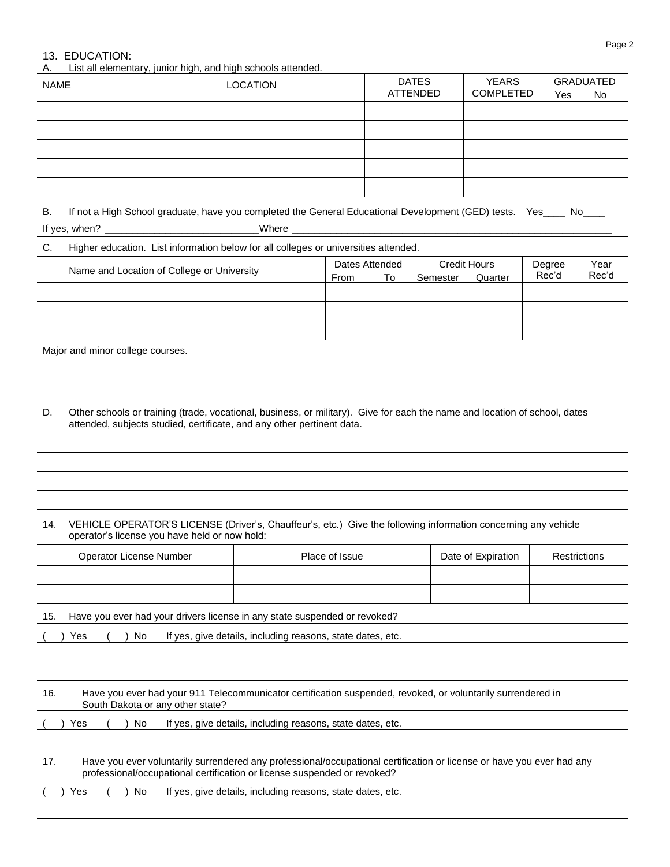# 13. EDUCATION:

List all elementary, junior high, and high schools attended.

|     | List all clerificitially, jurilor riigh, and riigh scribblis attended.<br><b>NAME</b><br><b>LOCATION</b>                                                                                             |                                                            |                | <b>DATES</b><br><b>ATTENDED</b> | <b>YEARS</b><br><b>COMPLETED</b> | Yes                 | <b>GRADUATED</b><br>No |              |
|-----|------------------------------------------------------------------------------------------------------------------------------------------------------------------------------------------------------|------------------------------------------------------------|----------------|---------------------------------|----------------------------------|---------------------|------------------------|--------------|
|     |                                                                                                                                                                                                      |                                                            |                |                                 |                                  |                     |                        |              |
|     |                                                                                                                                                                                                      |                                                            |                |                                 |                                  |                     |                        |              |
|     |                                                                                                                                                                                                      |                                                            |                |                                 |                                  |                     |                        |              |
|     |                                                                                                                                                                                                      |                                                            |                |                                 |                                  |                     |                        |              |
|     |                                                                                                                                                                                                      |                                                            |                |                                 |                                  |                     |                        |              |
| В.  | If not a High School graduate, have you completed the General Educational Development (GED) tests. Yes____ No___                                                                                     |                                                            |                |                                 |                                  |                     |                        |              |
| C.  | Higher education. List information below for all colleges or universities attended.                                                                                                                  |                                                            |                |                                 |                                  |                     |                        |              |
|     | Name and Location of College or University                                                                                                                                                           |                                                            |                | Dates Attended                  |                                  | <b>Credit Hours</b> | Degree                 | Year         |
|     |                                                                                                                                                                                                      |                                                            | From           | To                              | Semester                         | Quarter             | Rec'd                  | Rec'd        |
|     |                                                                                                                                                                                                      |                                                            |                |                                 |                                  |                     |                        |              |
|     |                                                                                                                                                                                                      |                                                            |                |                                 |                                  |                     |                        |              |
|     | Major and minor college courses.                                                                                                                                                                     |                                                            |                |                                 |                                  |                     |                        |              |
|     |                                                                                                                                                                                                      |                                                            |                |                                 |                                  |                     |                        |              |
|     |                                                                                                                                                                                                      |                                                            |                |                                 |                                  |                     |                        |              |
|     |                                                                                                                                                                                                      |                                                            |                |                                 |                                  |                     |                        |              |
| D.  | Other schools or training (trade, vocational, business, or military). Give for each the name and location of school, dates<br>attended, subjects studied, certificate, and any other pertinent data. |                                                            |                |                                 |                                  |                     |                        |              |
|     |                                                                                                                                                                                                      |                                                            |                |                                 |                                  |                     |                        |              |
|     |                                                                                                                                                                                                      |                                                            |                |                                 |                                  |                     |                        |              |
|     |                                                                                                                                                                                                      |                                                            |                |                                 |                                  |                     |                        |              |
|     |                                                                                                                                                                                                      |                                                            |                |                                 |                                  |                     |                        |              |
| 14. | VEHICLE OPERATOR'S LICENSE (Driver's, Chauffeur's, etc.) Give the following information concerning any vehicle                                                                                       |                                                            |                |                                 |                                  |                     |                        |              |
|     | operator's license you have held or now hold:                                                                                                                                                        |                                                            |                |                                 |                                  |                     |                        |              |
|     | Operator License Number                                                                                                                                                                              |                                                            | Place of Issue |                                 |                                  | Date of Expiration  |                        | Restrictions |
|     |                                                                                                                                                                                                      |                                                            |                |                                 |                                  |                     |                        |              |
|     |                                                                                                                                                                                                      |                                                            |                |                                 |                                  |                     |                        |              |
| 15. | Have you ever had your drivers license in any state suspended or revoked?                                                                                                                            |                                                            |                |                                 |                                  |                     |                        |              |
|     | Yes<br>No                                                                                                                                                                                            | If yes, give details, including reasons, state dates, etc. |                |                                 |                                  |                     |                        |              |
|     |                                                                                                                                                                                                      |                                                            |                |                                 |                                  |                     |                        |              |
|     |                                                                                                                                                                                                      |                                                            |                |                                 |                                  |                     |                        |              |
| 16. | Have you ever had your 911 Telecommunicator certification suspended, revoked, or voluntarily surrendered in<br>South Dakota or any other state?                                                      |                                                            |                |                                 |                                  |                     |                        |              |
|     | No<br>Yes                                                                                                                                                                                            | If yes, give details, including reasons, state dates, etc. |                |                                 |                                  |                     |                        |              |
|     |                                                                                                                                                                                                      |                                                            |                |                                 |                                  |                     |                        |              |
| 17. | Have you ever voluntarily surrendered any professional/occupational certification or license or have you ever had any<br>professional/occupational certification or license suspended or revoked?    |                                                            |                |                                 |                                  |                     |                        |              |
|     | No<br>Yes                                                                                                                                                                                            | If yes, give details, including reasons, state dates, etc. |                |                                 |                                  |                     |                        |              |
|     |                                                                                                                                                                                                      |                                                            |                |                                 |                                  |                     |                        |              |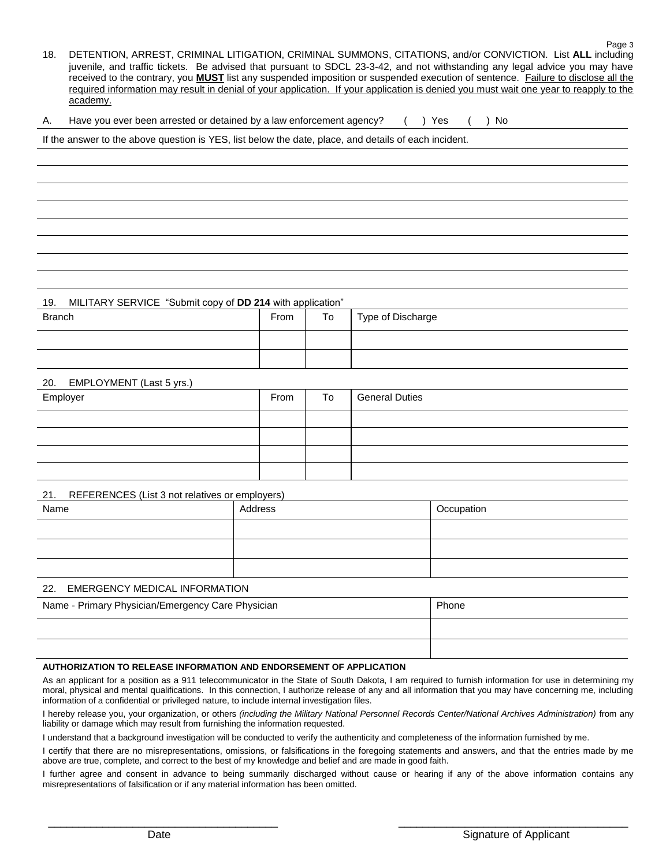- 18. DETENTION, ARREST, CRIMINAL LITIGATION, CRIMINAL SUMMONS, CITATIONS, and/or CONVICTION. List **ALL** including juvenile, and traffic tickets. Be advised that pursuant to SDCL 23-3-42, and not withstanding any legal advice you may have received to the contrary, you **MUST** list any suspended imposition or suspended execution of sentence. Failure to disclose all the required information may result in denial of your application. If your application is denied you must wait one year to reapply to the academy.
- A. Have you ever been arrested or detained by a law enforcement agency? () Yes () No

If the answer to the above question is YES, list below the date, place, and details of each incident.

19. MILITARY SERVICE "Submit copy of **DD 214** with application"

| . .<br><b>Branch</b> | From | To | Type of Discharge |
|----------------------|------|----|-------------------|
|                      |      |    |                   |
|                      |      |    |                   |

#### 20. EMPLOYMENT (Last 5 yrs.)

| Employer | From | To | <b>General Duties</b> |
|----------|------|----|-----------------------|
|          |      |    |                       |
|          |      |    |                       |
|          |      |    |                       |
|          |      |    |                       |

#### 21. REFERENCES (List 3 not relatives or employers)

| ___<br>. |         |            |
|----------|---------|------------|
| Name     | Address | Occupation |
|          |         |            |
|          |         |            |
|          |         |            |
|          |         |            |

#### 22. EMERGENCY MEDICAL INFORMATION

| Name - Primary Physician/Emergency Care Physician | Phone |
|---------------------------------------------------|-------|
|                                                   |       |
|                                                   |       |

### **AUTHORIZATION TO RELEASE INFORMATION AND ENDORSEMENT OF APPLICATION**

As an applicant for a position as a 911 telecommunicator in the State of South Dakota, I am required to furnish information for use in determining my moral, physical and mental qualifications. In this connection, I authorize release of any and all information that you may have concerning me, including information of a confidential or privileged nature, to include internal investigation files.

I hereby release you, your organization, or others *(including the Military National Personnel Records Center/National Archives Administration)* from any liability or damage which may result from furnishing the information requested.

I understand that a background investigation will be conducted to verify the authenticity and completeness of the information furnished by me.

I certify that there are no misrepresentations, omissions, or falsifications in the foregoing statements and answers, and that the entries made by me above are true, complete, and correct to the best of my knowledge and belief and are made in good faith.

I further agree and consent in advance to being summarily discharged without cause or hearing if any of the above information contains any misrepresentations of falsification or if any material information has been omitted.

\_\_\_\_\_\_\_\_\_\_\_\_\_\_\_\_\_\_\_\_\_\_\_\_\_\_\_\_\_\_\_\_\_\_\_\_\_\_ \_\_\_\_\_\_\_\_\_\_\_\_\_\_\_\_\_\_\_\_\_\_\_\_\_\_\_\_\_\_\_\_\_\_\_\_\_\_